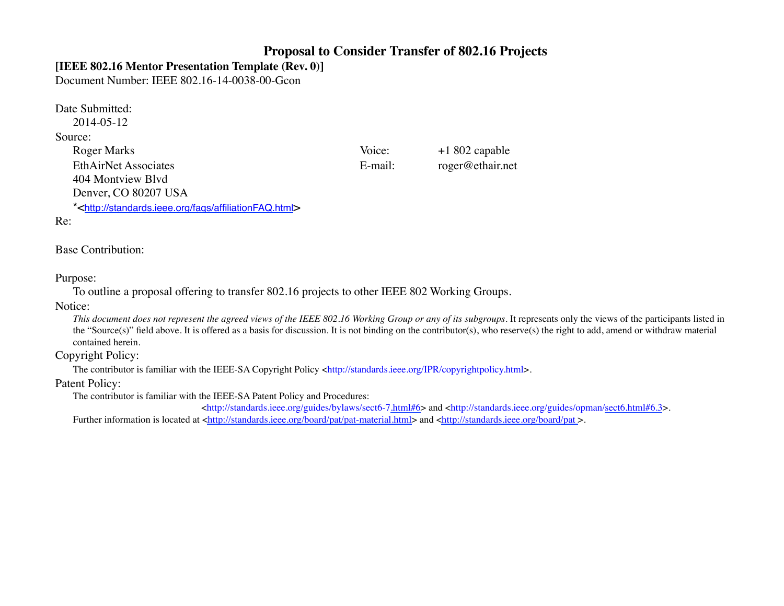### **Proposal to Consider Transfer of 802.16 Projects**

### **[IEEE 802.16 Mentor Presentation Template (Rev. 0)]**

Document Number: IEEE 802.16-14-0038-00-Gcon

Date Submitted:

2014-05-12

#### Source:

Roger Marks Voice: +1 802 capable EthAirNet Associates E-mail: roger@ethair.net 404 Montview Blvd 

Denver, CO 80207 USA

\*<http://standards.ieee.org/faqs/affiliationFAQ.html>

#### Re:

### Base Contribution:

### Purpose:

To outline a proposal offering to transfer 802.16 projects to other IEEE 802 Working Groups.

#### Notice:

*This document does not represent the agreed views of the IEEE 802.16 Working Group or any of its subgroups*. It represents only the views of the participants listed in the "Source(s)" field above. It is offered as a basis for discussion. It is not binding on the contributor(s), who reserve(s) the right to add, amend or withdraw material contained herein.

### Copyright Policy:

The contributor is familiar with the IEEE-SA Copyright Policy <http://standards.ieee.org/IPR/copyrightpolicy.html>.

### Patent Policy:

The contributor is familiar with the IEEE-SA Patent Policy and Procedures:

 $\text{th}(t)$ ://standards.ieee.org/guides/bylaws/sect6-7.html#6> and <http://standards.ieee.org/guides/opman/sect6.html#6.3>.

Further information is located at <http://standards.ieee.org/board/pat/pat-material.html> and <http://standards.ieee.org/board/pat>.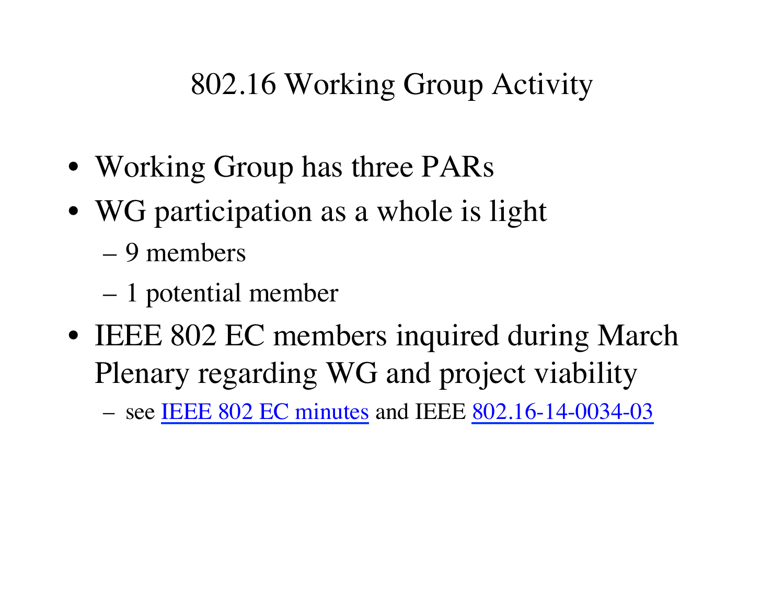# 802.16 Working Group Activity

- Working Group has three PARs
- WG participation as a whole is light
	- 9 members
	- 1 potential member
- IEEE 802 EC members inquired during March Plenary regarding WG and project viability

– see [IEEE 802 EC minutes](http://ieee802.org/minutes/2014_03/2014_0321_Close_Minutes_R0.pdf) and IEEE [802.16-14-0034-03](http://doc.wirelessman.org/16-14-0034-03)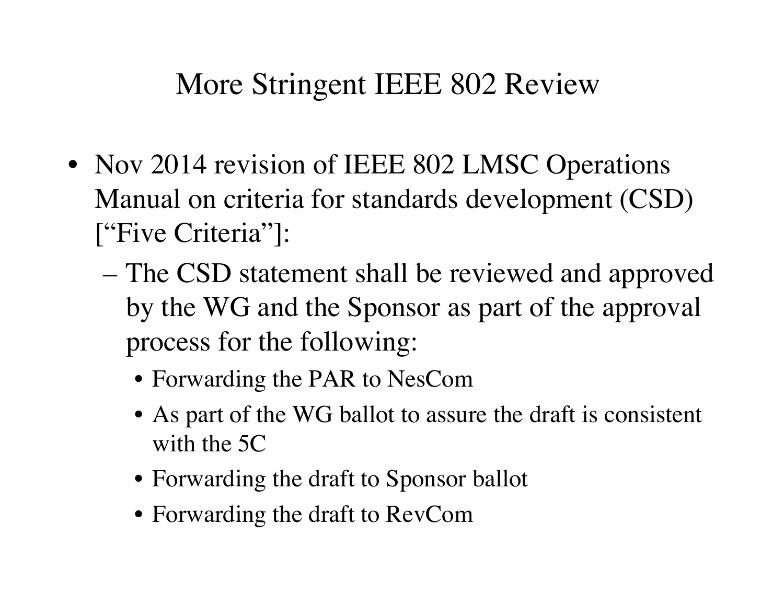## More Stringent IEEE 802 Review

- Nov 2014 revision of IEEE 802 LMSC Operations Manual on criteria for standards development (CSD) ["Five Criteria"]:
	- The CSD statement shall be reviewed and approved by the WG and the Sponsor as part of the approval process for the following:
		- Forwarding the PAR to NesCom
		- As part of the WG ballot to assure the draft is consistent with the 5C
		- Forwarding the draft to Sponsor ballot
		- Forwarding the draft to RevCom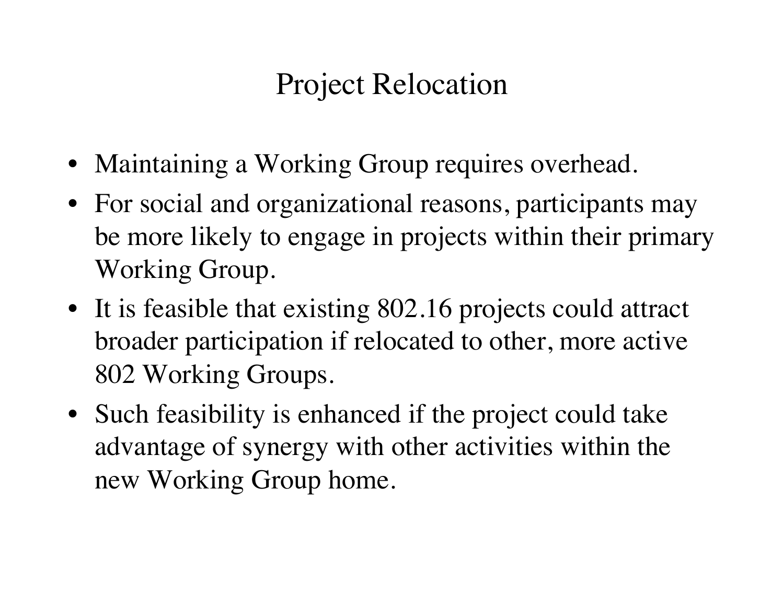## Project Relocation

- Maintaining a Working Group requires overhead.
- For social and organizational reasons, participants may be more likely to engage in projects within their primary Working Group.
- It is feasible that existing 802.16 projects could attract broader participation if relocated to other, more active 802 Working Groups.
- Such feasibility is enhanced if the project could take advantage of synergy with other activities within the new Working Group home.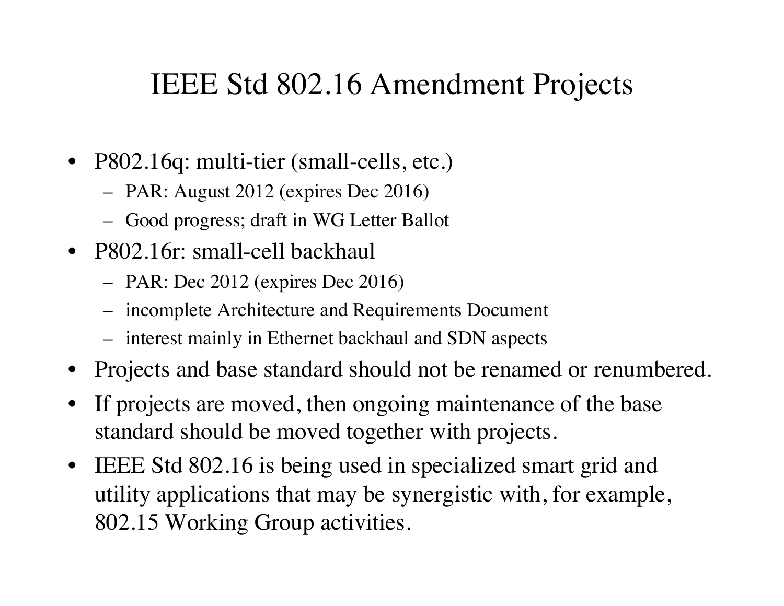## IEEE Std 802.16 Amendment Projects

- P802.16q: multi-tier (small-cells, etc.)
	- PAR: August 2012 (expires Dec 2016)
	- Good progress; draft in WG Letter Ballot
- P802.16r: small-cell backhaul
	- PAR: Dec 2012 (expires Dec 2016)
	- incomplete Architecture and Requirements Document
	- interest mainly in Ethernet backhaul and SDN aspects
- Projects and base standard should not be renamed or renumbered.
- If projects are moved, then ongoing maintenance of the base standard should be moved together with projects.
- IEEE Std 802.16 is being used in specialized smart grid and utility applications that may be synergistic with, for example, 802.15 Working Group activities.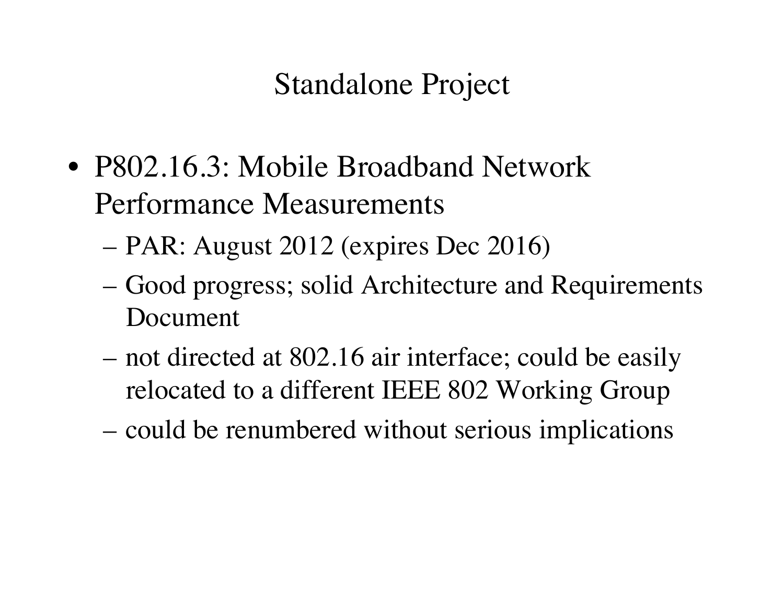## Standalone Project

- P802.16.3: Mobile Broadband Network Performance Measurements
	- PAR: August 2012 (expires Dec 2016)
	- Good progress; solid Architecture and Requirements Document
	- not directed at 802.16 air interface; could be easily relocated to a different IEEE 802 Working Group
	- could be renumbered without serious implications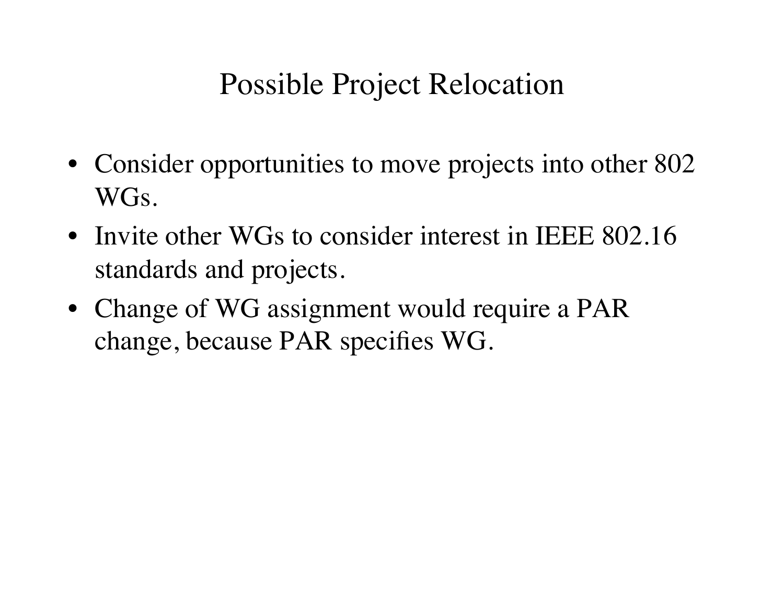## Possible Project Relocation

- Consider opportunities to move projects into other 802 WGs.
- Invite other WGs to consider interest in IEEE 802.16 standards and projects.
- Change of WG assignment would require a PAR change, because PAR specifies WG.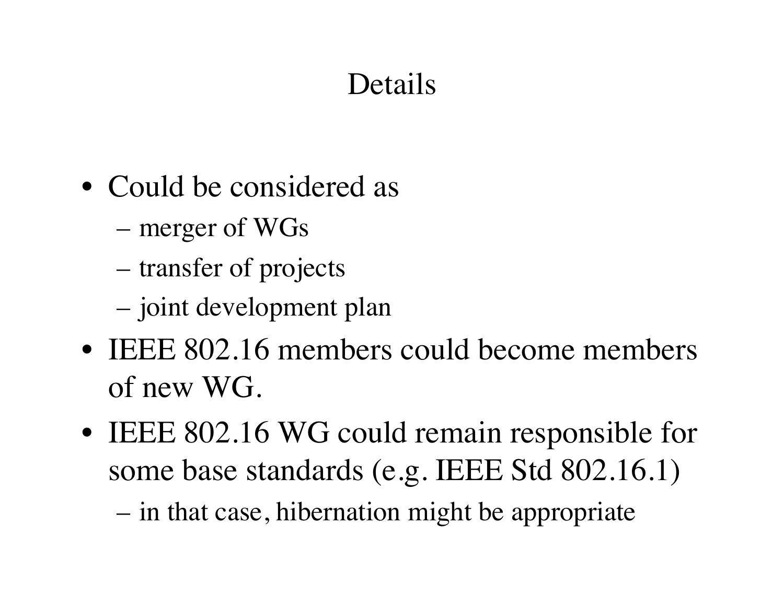# Details

- Could be considered as
	- merger of WGs
	- transfer of projects
	- joint development plan
- IEEE 802.16 members could become members of new WG.
- IEEE 802.16 WG could remain responsible for some base standards (e.g. IEEE Std 802.16.1)

– in that case, hibernation might be appropriate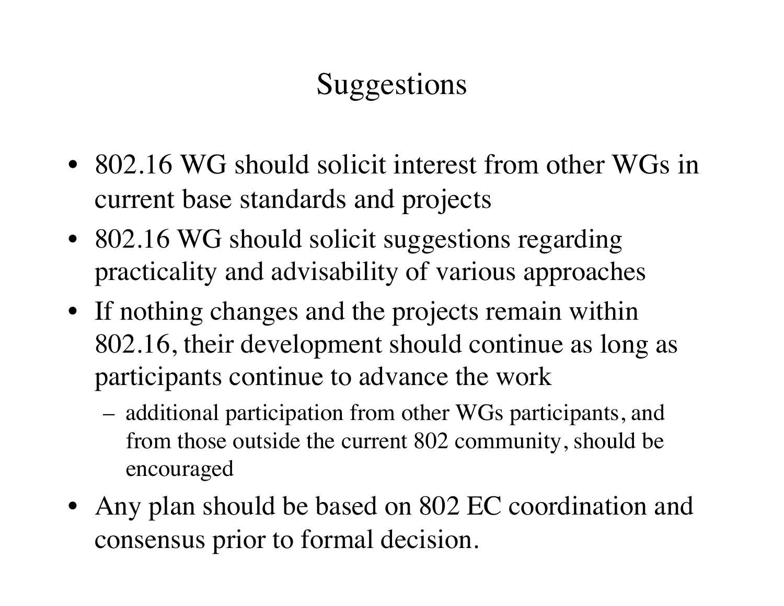# Suggestions

- 802.16 WG should solicit interest from other WGs in current base standards and projects
- 802.16 WG should solicit suggestions regarding practicality and advisability of various approaches
- If nothing changes and the projects remain within 802.16, their development should continue as long as participants continue to advance the work
	- additional participation from other WGs participants, and from those outside the current 802 community, should be encouraged
- Any plan should be based on 802 EC coordination and consensus prior to formal decision.